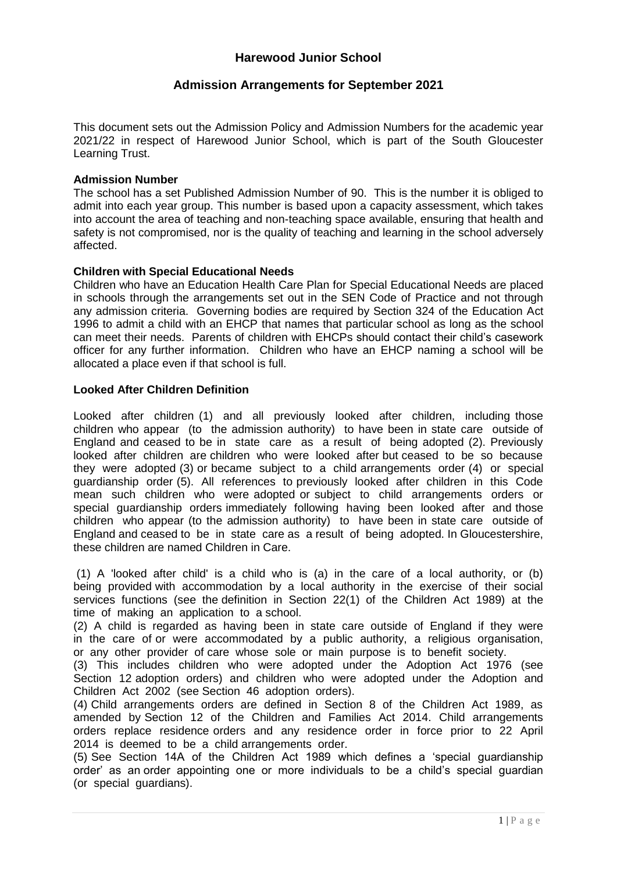# **Harewood Junior School**

# **Admission Arrangements for September 2021**

This document sets out the Admission Policy and Admission Numbers for the academic year 2021/22 in respect of Harewood Junior School, which is part of the South Gloucester Learning Trust.

### **Admission Number**

The school has a set Published Admission Number of 90. This is the number it is obliged to admit into each year group. This number is based upon a capacity assessment, which takes into account the area of teaching and non-teaching space available, ensuring that health and safety is not compromised, nor is the quality of teaching and learning in the school adversely affected.

### **Children with Special Educational Needs**

Children who have an Education Health Care Plan for Special Educational Needs are placed in schools through the arrangements set out in the SEN Code of Practice and not through any admission criteria. Governing bodies are required by Section 324 of the Education Act 1996 to admit a child with an EHCP that names that particular school as long as the school can meet their needs. Parents of children with EHCPs should contact their child's casework officer for any further information. Children who have an EHCP naming a school will be allocated a place even if that school is full.

# **Looked After Children Definition**

Looked after children (1) and all previously looked after children, including those children who appear (to the admission authority) to have been in state care outside of England and ceased to be in state care as a result of being adopted (2). Previously looked after children are children who were looked after but ceased to be so because they were adopted (3) or became subject to a child arrangements order (4) or special guardianship order (5). All references to previously looked after children in this Code mean such children who were adopted or subject to child arrangements orders or special guardianship orders immediately following having been looked after and those children who appear (to the admission authority) to have been in state care outside of England and ceased to be in state care as a result of being adopted. In Gloucestershire, these children are named Children in Care.

(1) A 'looked after child' is a child who is (a) in the care of a local authority, or (b) being provided with accommodation by a local authority in the exercise of their social services functions (see the definition in Section 22(1) of the Children Act 1989) at the time of making an application to a school.

(2) A child is regarded as having been in state care outside of England if they were in the care of or were accommodated by a public authority, a religious organisation, or any other provider of care whose sole or main purpose is to benefit society.

(3) This includes children who were adopted under the Adoption Act 1976 (see Section 12 adoption orders) and children who were adopted under the Adoption and Children Act 2002 (see Section 46 adoption orders).

(4) Child arrangements orders are defined in Section 8 of the Children Act 1989, as amended by Section 12 of the Children and Families Act 2014. Child arrangements orders replace residence orders and any residence order in force prior to 22 April 2014 is deemed to be a child arrangements order.

(5) See Section 14A of the Children Act 1989 which defines a 'special guardianship order' as an order appointing one or more individuals to be a child's special guardian (or special guardians).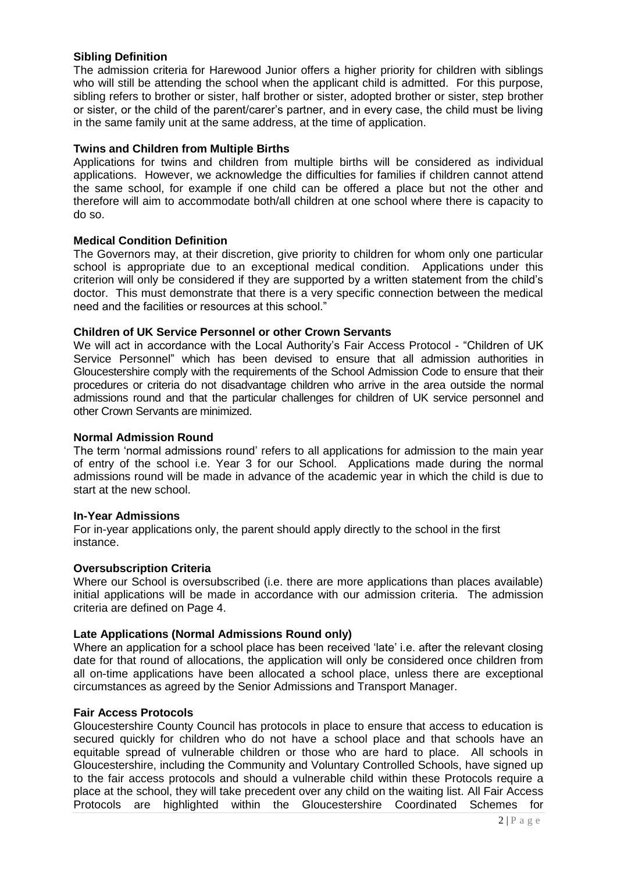# **Sibling Definition**

The admission criteria for Harewood Junior offers a higher priority for children with siblings who will still be attending the school when the applicant child is admitted. For this purpose, sibling refers to brother or sister, half brother or sister, adopted brother or sister, step brother or sister, or the child of the parent/carer's partner, and in every case, the child must be living in the same family unit at the same address, at the time of application.

#### **Twins and Children from Multiple Births**

Applications for twins and children from multiple births will be considered as individual applications. However, we acknowledge the difficulties for families if children cannot attend the same school, for example if one child can be offered a place but not the other and therefore will aim to accommodate both/all children at one school where there is capacity to do so.

#### **Medical Condition Definition**

The Governors may, at their discretion, give priority to children for whom only one particular school is appropriate due to an exceptional medical condition. Applications under this criterion will only be considered if they are supported by a written statement from the child's doctor. This must demonstrate that there is a very specific connection between the medical need and the facilities or resources at this school."

### **Children of UK Service Personnel or other Crown Servants**

We will act in accordance with the Local Authority's Fair Access Protocol - "Children of UK Service Personnel" which has been devised to ensure that all admission authorities in Gloucestershire comply with the requirements of the School Admission Code to ensure that their procedures or criteria do not disadvantage children who arrive in the area outside the normal admissions round and that the particular challenges for children of UK service personnel and other Crown Servants are minimized.

## **Normal Admission Round**

The term 'normal admissions round' refers to all applications for admission to the main year of entry of the school i.e. Year 3 for our School. Applications made during the normal admissions round will be made in advance of the academic year in which the child is due to start at the new school.

#### **In-Year Admissions**

For in-year applications only, the parent should apply directly to the school in the first instance.

#### **Oversubscription Criteria**

Where our School is oversubscribed (i.e. there are more applications than places available) initial applications will be made in accordance with our admission criteria. The admission criteria are defined on Page 4.

#### **Late Applications (Normal Admissions Round only)**

Where an application for a school place has been received 'late' i.e. after the relevant closing date for that round of allocations, the application will only be considered once children from all on-time applications have been allocated a school place, unless there are exceptional circumstances as agreed by the Senior Admissions and Transport Manager.

#### **Fair Access Protocols**

Gloucestershire County Council has protocols in place to ensure that access to education is secured quickly for children who do not have a school place and that schools have an equitable spread of vulnerable children or those who are hard to place. All schools in Gloucestershire, including the Community and Voluntary Controlled Schools, have signed up to the fair access protocols and should a vulnerable child within these Protocols require a place at the school, they will take precedent over any child on the waiting list. All Fair Access Protocols are highlighted within the Gloucestershire Coordinated Schemes for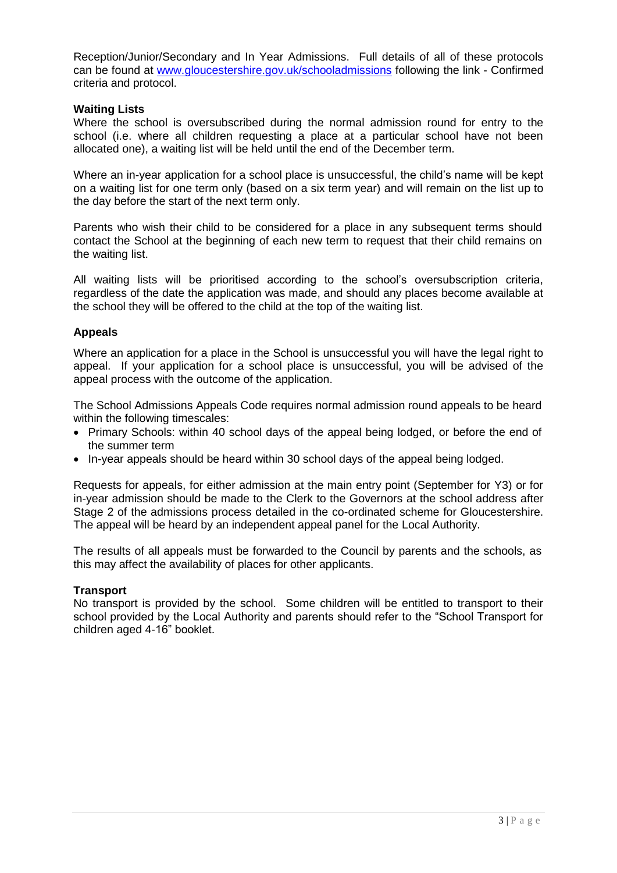Reception/Junior/Secondary and In Year Admissions. Full details of all of these protocols can be found at [www.gloucestershire.gov.uk/schooladmissions](http://www.gloucestershire.gov.uk/schooladmissions) following the link - Confirmed criteria and protocol.

# **Waiting Lists**

Where the school is oversubscribed during the normal admission round for entry to the school (i.e. where all children requesting a place at a particular school have not been allocated one), a waiting list will be held until the end of the December term.

Where an in-year application for a school place is unsuccessful, the child's name will be kept on a waiting list for one term only (based on a six term year) and will remain on the list up to the day before the start of the next term only.

Parents who wish their child to be considered for a place in any subsequent terms should contact the School at the beginning of each new term to request that their child remains on the waiting list.

All waiting lists will be prioritised according to the school's oversubscription criteria, regardless of the date the application was made, and should any places become available at the school they will be offered to the child at the top of the waiting list.

### **Appeals**

Where an application for a place in the School is unsuccessful you will have the legal right to appeal. If your application for a school place is unsuccessful, you will be advised of the appeal process with the outcome of the application.

The School Admissions Appeals Code requires normal admission round appeals to be heard within the following timescales:

- Primary Schools: within 40 school days of the appeal being lodged, or before the end of the summer term
- In-year appeals should be heard within 30 school days of the appeal being lodged.

Requests for appeals, for either admission at the main entry point (September for Y3) or for in-year admission should be made to the Clerk to the Governors at the school address after Stage 2 of the admissions process detailed in the co-ordinated scheme for Gloucestershire. The appeal will be heard by an independent appeal panel for the Local Authority.

The results of all appeals must be forwarded to the Council by parents and the schools, as this may affect the availability of places for other applicants.

# **Transport**

No transport is provided by the school. Some children will be entitled to transport to their school provided by the Local Authority and parents should refer to the "School Transport for children aged 4-16" booklet.